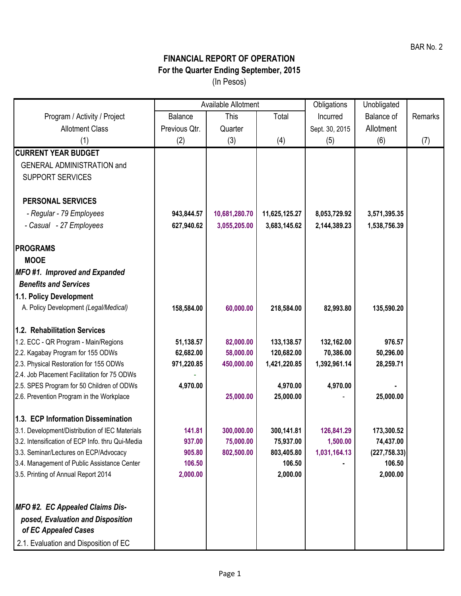## **FINANCIAL REPORT OF OPERATION For the Quarter Ending September, 2015** (In Pesos)

|                                                                  | Available Allotment |               |               | Obligations    | Unobligated   |         |
|------------------------------------------------------------------|---------------------|---------------|---------------|----------------|---------------|---------|
| Program / Activity / Project                                     | <b>Balance</b>      | This          | Total         | Incurred       | Balance of    | Remarks |
| <b>Allotment Class</b>                                           | Previous Qtr.       | Quarter       |               | Sept. 30, 2015 | Allotment     |         |
| (1)                                                              | (2)                 | (3)           | (4)           | (5)            | (6)           | (7)     |
| <b>CURRENT YEAR BUDGET</b>                                       |                     |               |               |                |               |         |
| <b>GENERAL ADMINISTRATION and</b>                                |                     |               |               |                |               |         |
| <b>SUPPORT SERVICES</b>                                          |                     |               |               |                |               |         |
|                                                                  |                     |               |               |                |               |         |
| <b>PERSONAL SERVICES</b>                                         |                     |               |               |                |               |         |
| - Regular - 79 Employees                                         | 943,844.57          | 10,681,280.70 | 11,625,125.27 | 8,053,729.92   | 3,571,395.35  |         |
| - Casual - 27 Employees                                          | 627,940.62          | 3,055,205.00  | 3,683,145.62  | 2,144,389.23   | 1,538,756.39  |         |
|                                                                  |                     |               |               |                |               |         |
| <b>PROGRAMS</b>                                                  |                     |               |               |                |               |         |
| <b>MOOE</b>                                                      |                     |               |               |                |               |         |
| MFO #1. Improved and Expanded<br><b>Benefits and Services</b>    |                     |               |               |                |               |         |
|                                                                  |                     |               |               |                |               |         |
| 1.1. Policy Development<br>A. Policy Development (Legal/Medical) |                     | 60,000.00     | 218,584.00    | 82,993.80      | 135,590.20    |         |
|                                                                  | 158,584.00          |               |               |                |               |         |
| 1.2. Rehabilitation Services                                     |                     |               |               |                |               |         |
| 1.2. ECC - QR Program - Main/Regions                             | 51,138.57           | 82,000.00     | 133, 138.57   | 132,162.00     | 976.57        |         |
| 2.2. Kagabay Program for 155 ODWs                                | 62,682.00           | 58,000.00     | 120,682.00    | 70,386.00      | 50,296.00     |         |
| 2.3. Physical Restoration for 155 ODWs                           | 971,220.85          | 450,000.00    | 1,421,220.85  | 1,392,961.14   | 28,259.71     |         |
| 2.4. Job Placement Facilitation for 75 ODWs                      |                     |               |               |                |               |         |
| 2.5. SPES Program for 50 Children of ODWs                        | 4,970.00            |               | 4,970.00      | 4,970.00       |               |         |
| 2.6. Prevention Program in the Workplace                         |                     | 25,000.00     | 25,000.00     |                | 25,000.00     |         |
| 1.3. ECP Information Dissemination                               |                     |               |               |                |               |         |
| 3.1. Development/Distribution of IEC Materials                   | 141.81              | 300,000.00    | 300,141.81    | 126,841.29     | 173,300.52    |         |
| 3.2. Intensification of ECP Info. thru Qui-Media                 | 937.00              | 75,000.00     | 75,937.00     | 1,500.00       | 74,437.00     |         |
| 3.3. Seminar/Lectures on ECP/Advocacy                            | 905.80              | 802,500.00    | 803,405.80    | 1,031,164.13   | (227, 758.33) |         |
| 3.4. Management of Public Assistance Center                      | 106.50              |               | 106.50        |                | 106.50        |         |
| 3.5. Printing of Annual Report 2014                              | 2,000.00            |               | 2,000.00      |                | 2,000.00      |         |
|                                                                  |                     |               |               |                |               |         |
| <b>MFO #2. EC Appealed Claims Dis-</b>                           |                     |               |               |                |               |         |
| posed, Evaluation and Disposition                                |                     |               |               |                |               |         |
| of EC Appealed Cases                                             |                     |               |               |                |               |         |
| 2.1. Evaluation and Disposition of EC                            |                     |               |               |                |               |         |